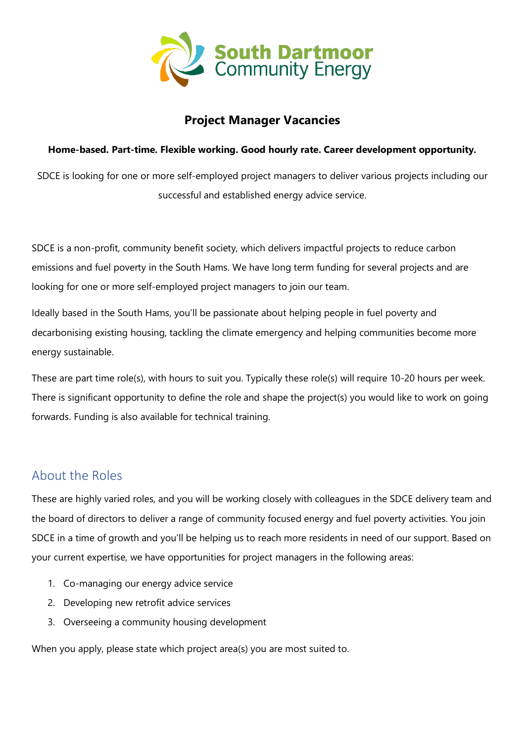

## **Project Manager Vacancies**

#### **Home-based. Part-time. Flexible working. Good hourly rate. Career development opportunity.**

SDCE is looking for one or more self-employed project managers to deliver various projects including our successful and established energy advice service.

SDCE is a non-profit, community benefit society, which delivers impactful projects to reduce carbon emissions and fuel poverty in the South Hams. We have long term funding for several projects and are looking for one or more self-employed project managers to join our team.

Ideally based in the South Hams, you'll be passionate about helping people in fuel poverty and decarbonising existing housing, tackling the climate emergency and helping communities become more energy sustainable.

These are part time role(s), with hours to suit you. Typically these role(s) will require 10-20 hours per week. There is significant opportunity to define the role and shape the project(s) you would like to work on going forwards. Funding is also available for technical training.

## About the Roles

These are highly varied roles, and you will be working closely with colleagues in the SDCE delivery team and the board of directors to deliver a range of community focused energy and fuel poverty activities. You join SDCE in a time of growth and you'll be helping us to reach more residents in need of our support. Based on your current expertise, we have opportunities for project managers in the following areas:

- 1. Co-managing our energy advice service
- 2. Developing new retrofit advice services
- 3. Overseeing a community housing development

When you apply, please state which project area(s) you are most suited to.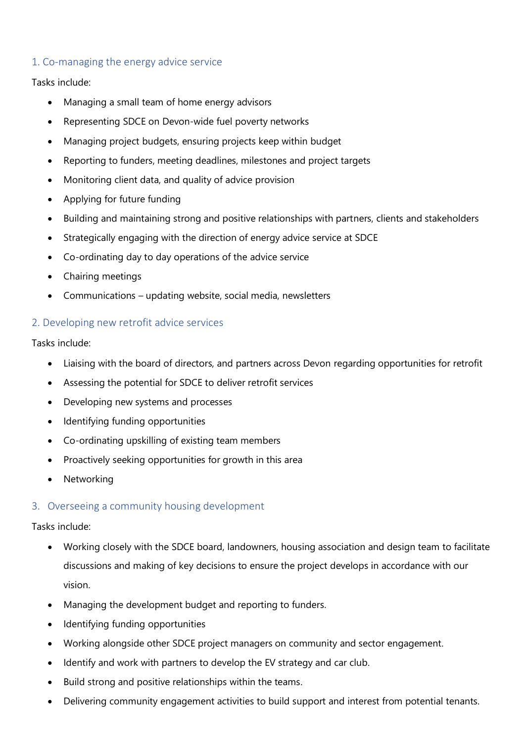### 1. Co-managing the energy advice service

Tasks include:

- Managing a small team of home energy advisors
- Representing SDCE on Devon-wide fuel poverty networks
- Managing project budgets, ensuring projects keep within budget
- Reporting to funders, meeting deadlines, milestones and project targets
- Monitoring client data, and quality of advice provision
- Applying for future funding
- Building and maintaining strong and positive relationships with partners, clients and stakeholders
- Strategically engaging with the direction of energy advice service at SDCE
- Co-ordinating day to day operations of the advice service
- Chairing meetings
- Communications updating website, social media, newsletters

#### 2. Developing new retrofit advice services

Tasks include:

- Liaising with the board of directors, and partners across Devon regarding opportunities for retrofit
- Assessing the potential for SDCE to deliver retrofit services
- Developing new systems and processes
- Identifying funding opportunities
- Co-ordinating upskilling of existing team members
- Proactively seeking opportunities for growth in this area
- **Networking**

#### 3. Overseeing a community housing development

Tasks include:

- Working closely with the SDCE board, landowners, housing association and design team to facilitate discussions and making of key decisions to ensure the project develops in accordance with our vision.
- Managing the development budget and reporting to funders.
- Identifying funding opportunities
- Working alongside other SDCE project managers on community and sector engagement.
- Identify and work with partners to develop the EV strategy and car club.
- Build strong and positive relationships within the teams.
- Delivering community engagement activities to build support and interest from potential tenants.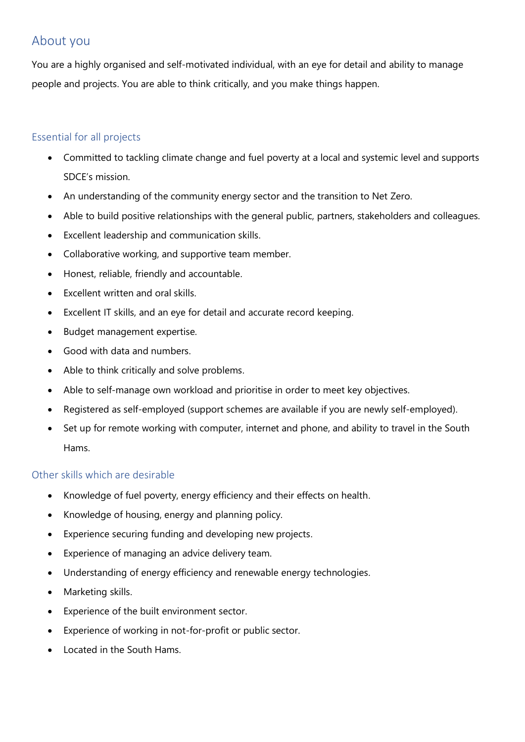## About you

You are a highly organised and self-motivated individual, with an eye for detail and ability to manage people and projects. You are able to think critically, and you make things happen.

### Essential for all projects

- Committed to tackling climate change and fuel poverty at a local and systemic level and supports SDCE's mission.
- An understanding of the community energy sector and the transition to Net Zero.
- Able to build positive relationships with the general public, partners, stakeholders and colleagues.
- Excellent leadership and communication skills.
- Collaborative working, and supportive team member.
- Honest, reliable, friendly and accountable.
- Excellent written and oral skills.
- Excellent IT skills, and an eye for detail and accurate record keeping.
- Budget management expertise.
- Good with data and numbers.
- Able to think critically and solve problems.
- Able to self-manage own workload and prioritise in order to meet key objectives.
- Registered as self-employed (support schemes are available if you are newly self-employed).
- Set up for remote working with computer, internet and phone, and ability to travel in the South Hams.

### Other skills which are desirable

- Knowledge of fuel poverty, energy efficiency and their effects on health.
- Knowledge of housing, energy and planning policy.
- Experience securing funding and developing new projects.
- Experience of managing an advice delivery team.
- Understanding of energy efficiency and renewable energy technologies.
- Marketing skills.
- Experience of the built environment sector.
- Experience of working in not-for-profit or public sector.
- Located in the South Hams.